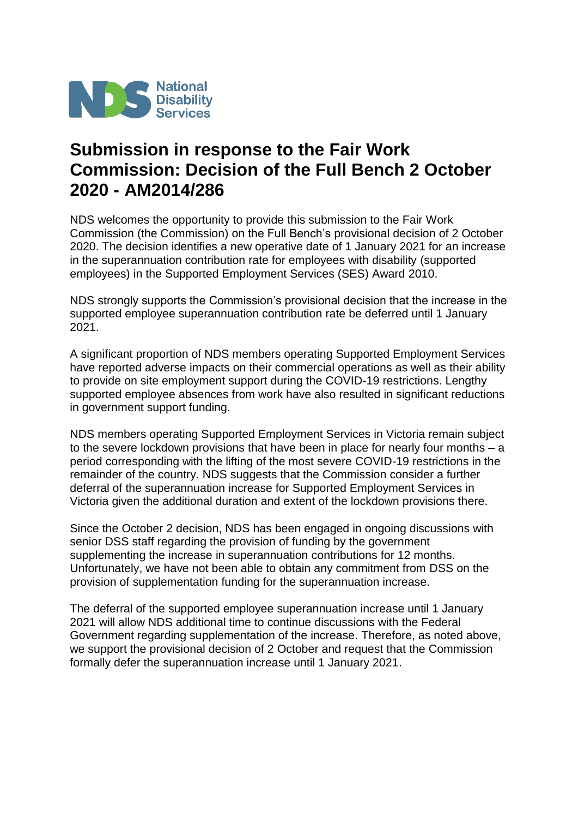

## **Submission in response to the Fair Work Commission: Decision of the Full Bench 2 October 2020 - AM2014/286**

NDS welcomes the opportunity to provide this submission to the Fair Work Commission (the Commission) on the Full Bench's provisional decision of 2 October 2020. The decision identifies a new operative date of 1 January 2021 for an increase in the superannuation contribution rate for employees with disability (supported employees) in the Supported Employment Services (SES) Award 2010.

NDS strongly supports the Commission's provisional decision that the increase in the supported employee superannuation contribution rate be deferred until 1 January 2021.

A significant proportion of NDS members operating Supported Employment Services have reported adverse impacts on their commercial operations as well as their ability to provide on site employment support during the COVID-19 restrictions. Lengthy supported employee absences from work have also resulted in significant reductions in government support funding.

NDS members operating Supported Employment Services in Victoria remain subject to the severe lockdown provisions that have been in place for nearly four months – a period corresponding with the lifting of the most severe COVID-19 restrictions in the remainder of the country. NDS suggests that the Commission consider a further deferral of the superannuation increase for Supported Employment Services in Victoria given the additional duration and extent of the lockdown provisions there.

Since the October 2 decision, NDS has been engaged in ongoing discussions with senior DSS staff regarding the provision of funding by the government supplementing the increase in superannuation contributions for 12 months. Unfortunately, we have not been able to obtain any commitment from DSS on the provision of supplementation funding for the superannuation increase.

The deferral of the supported employee superannuation increase until 1 January 2021 will allow NDS additional time to continue discussions with the Federal Government regarding supplementation of the increase. Therefore, as noted above, we support the provisional decision of 2 October and request that the Commission formally defer the superannuation increase until 1 January 2021.